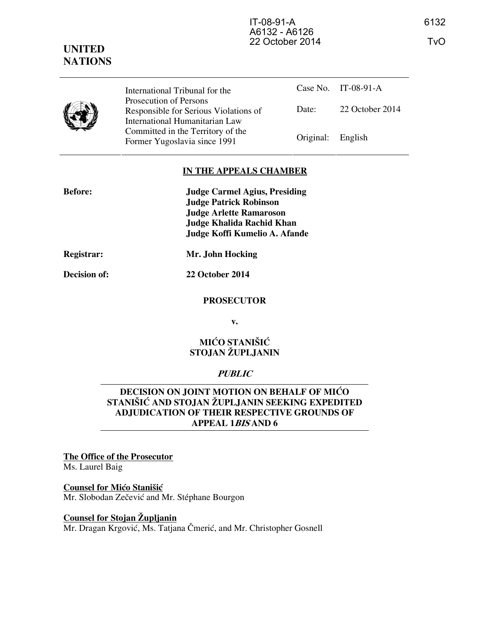## **UNITED NATIONS**

Case No. IT-08-91-A Date: 22 October 2014 International Tribunal for the Prosecution of Persons Responsible for Serious Violations of International Humanitarian Law Committed in the Territory of the Former Yugoslavia since 1991 Original: English

### **IN THE APPEALS CHAMBER**

| <b>Before:</b> | <b>Judge Carmel Agius, Presiding</b> |
|----------------|--------------------------------------|
|                | <b>Judge Patrick Robinson</b>        |
|                | <b>Judge Arlette Ramaroson</b>       |
|                | Judge Khalida Rachid Khan            |
|                | Judge Koffi Kumelio A. Afande        |
|                | 17. T.L. II. J.L.                    |

**Decision of: 22 October 2014** 

**Registrar: Mr. John Hocking** 

### **PROSECUTOR**

**v.** 

### **MIĆO STANIŠIĆ STOJAN ŽUPLJANIN**

### **PUBLIC**

### **DECISION ON JOINT MOTION ON BEHALF OF MICO** STANIŠIĆ AND STOJAN ŽUPLJANIN SEEKING EXPEDITED **ADJUDICATION OF THEIR RESPECTIVE GROUNDS OF APPEAL 1BIS AND 6**

# **The Office of the Prosecutor**

Ms. Laurel Baig

### **Counsel for Mićo Stanišić**

Mr. Slobodan Zečević and Mr. Stéphane Bourgon

### **Counsel for Stojan Župljanin**

Mr. Dragan Krgović, Ms. Tatjana Čmerić, and Mr. Christopher Gosnell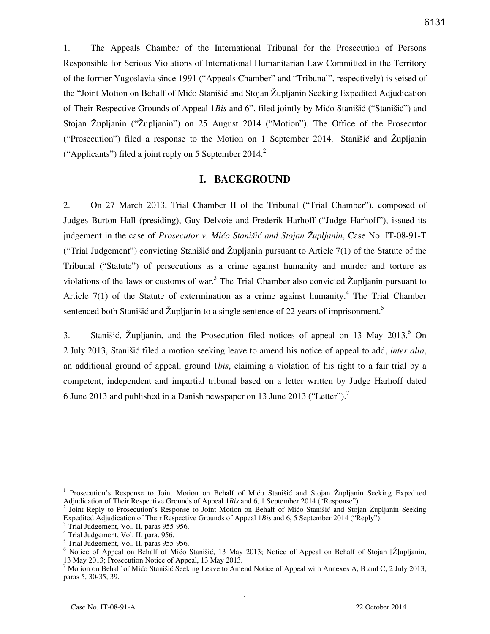1. The Appeals Chamber of the International Tribunal for the Prosecution of Persons Responsible for Serious Violations of International Humanitarian Law Committed in the Territory of the former Yugoslavia since 1991 ("Appeals Chamber" and "Tribunal", respectively) is seised of the "Joint Motion on Behalf of Mico Stanišic and Stojan Župljanin Seeking Expedited Adjudication of Their Respective Grounds of Appeal 1Bis and 6", filed jointly by Mićo Stanišić ("Stanišić") and Stojan Župljanin ("Župljanin") on 25 August 2014 ("Motion"). The Office of the Prosecutor ("Prosecution") filed a response to the Motion on 1 September 2014.<sup>1</sup> Stanišić and Župljanin ("Applicants") filed a joint reply on 5 September 2014.<sup>2</sup>

### **I. BACKGROUND**

2. On 27 March 2013, Trial Chamber II of the Tribunal ("Trial Chamber"), composed of Judges Burton Hall (presiding), Guy Delvoie and Frederik Harhoff ("Judge Harhoff"), issued its judgement in the case of *Prosecutor v. Mićo Stanišić and Stojan Župljanin*, Case No. IT-08-91-T ("Trial Judgement") convicting Stanišić and Župljanin pursuant to Article 7(1) of the Statute of the Tribunal ("Statute") of persecutions as a crime against humanity and murder and torture as violations of the laws or customs of war.<sup>3</sup> The Trial Chamber also convicted  $\check{Z}$ upljanin pursuant to Article  $7(1)$  of the Statute of extermination as a crime against humanity.<sup>4</sup> The Trial Chamber sentenced both Stanišić and Župljanin to a single sentence of 22 years of imprisonment.<sup>5</sup>

3. Stanišić, Župljanin, and the Prosecution filed notices of appeal on 13 May 2013. $6$  On 2 July 2013, Stani{i} filed a motion seeking leave to amend his notice of appeal to add, *inter alia*, an additional ground of appeal, ground 1*bis*, claiming a violation of his right to a fair trial by a competent, independent and impartial tribunal based on a letter written by Judge Harhoff dated 6 June 2013 and published in a Danish newspaper on 13 June 2013 ("Letter").<sup>7</sup>

<sup>&</sup>lt;sup>1</sup> Prosecution's Response to Joint Motion on Behalf of Mićo Stanišić and Stojan Župljanin Seeking Expedited Adjudication of Their Respective Grounds of Appeal 1*Bis* and 6, 1 September 2014 ("Response").

<sup>&</sup>lt;sup>2</sup> Joint Reply to Prosecution's Response to Joint Motion on Behalf of Mićo Stanišić and Stojan Župljanin Seeking Expedited Adjudication of Their Respective Grounds of Appeal 1*Bis* and 6, 5 September 2014 ("Reply").

<sup>3</sup> Trial Judgement, Vol. II, paras 955-956.

<sup>4</sup> Trial Judgement, Vol. II, para. 956.

<sup>5</sup> Trial Judgement, Vol. II, paras 955-956.

<sup>&</sup>lt;sup>6</sup> Notice of Appeal on Behalf of Mićo Stanišić, 13 May 2013; Notice of Appeal on Behalf of Stojan [Ž]upljanin, 13 May 2013; Prosecution Notice of Appeal, 13 May 2013.

<sup>&</sup>lt;sup>7</sup> Motion on Behalf of Mićo Stanišić Seeking Leave to Amend Notice of Appeal with Annexes A, B and C, 2 July 2013, paras 5, 30-35, 39.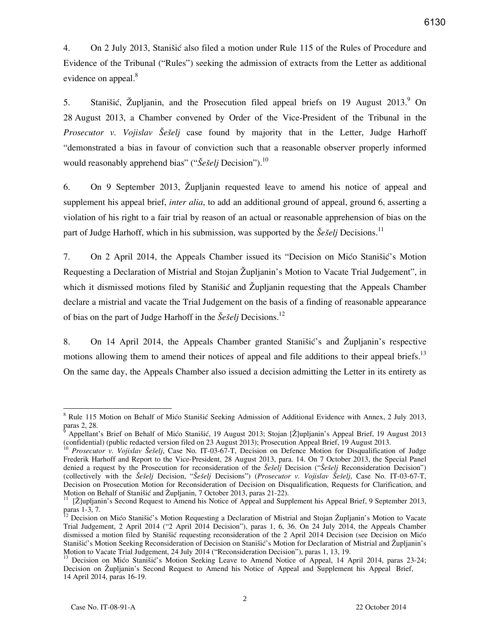4. On 2 July 2013, Stanistic also filed a motion under Rule 115 of the Rules of Procedure and Evidence of the Tribunal ("Rules") seeking the admission of extracts from the Letter as additional evidence on appeal.<sup>8</sup>

5. Stanišić, Župljanin, and the Prosecution filed appeal briefs on 19 August  $2013$ <sup>9</sup> On 28 August 2013, a Chamber convened by Order of the Vice-President of the Tribunal in the *Prosecutor v. Vojislav Šešelj* case found by majority that in the Letter, Judge Harhoff "demonstrated a bias in favour of conviction such that a reasonable observer properly informed would reasonably apprehend bias" ("Šešelj Decision").<sup>10</sup>

6. On 9 September 2013, Župljanin requested leave to amend his notice of appeal and supplement his appeal brief, *inter alia*, to add an additional ground of appeal, ground 6, asserting a violation of his right to a fair trial by reason of an actual or reasonable apprehension of bias on the part of Judge Harhoff, which in his submission, was supported by the *Šešelj* Decisions.<sup>11</sup>

7. On 2 April 2014, the Appeals Chamber issued its "Decision on Mico Stanišic's Motion Requesting a Declaration of Mistrial and Stojan Župljanin's Motion to Vacate Trial Judgement", in which it dismissed motions filed by Stanišić and  $\tilde{Z}$ upljanin requesting that the Appeals Chamber declare a mistrial and vacate the Trial Judgement on the basis of a finding of reasonable appearance of bias on the part of Judge Harhoff in the *Šešelj* Decisions.<sup>12</sup>

8. On 14 April 2014, the Appeals Chamber granted Stanistic's and Župljanin's respective motions allowing them to amend their notices of appeal and file additions to their appeal briefs.<sup>13</sup> On the same day, the Appeals Chamber also issued a decision admitting the Letter in its entirety as

<sup>8</sup> Rule 115 Motion on Behalf of Mićo Stanišić Seeking Admission of Additional Evidence with Annex, 2 July 2013, paras 2, 28.

ĝ Appellant's Brief on Behalf of Mićo Stanišić, 19 August 2013; Stojan [Ž]upljanin's Appeal Brief, 19 August 2013 (confidential) (public redacted version filed on 23 August 2013); Prosecution Appeal Brief, 19 August 2013.

<sup>&</sup>lt;sup>10</sup> Prosecutor v. Vojislav Šešelj, Case No. IT-03-67-T, Decision on Defence Motion for Disqualification of Judge Frederik Harhoff and Report to the Vice-President, 28 August 2013, para. 14. On 7 October 2013, the Special Panel denied a request by the Prosecution for reconsideration of the *Šešelj* Decision ("*Šešelj* Reconsideration Decision") (collectively with the *Šešelj Decision, "Šešelj Decisions")* (*Prosecutor v. Vojislav Šešelj*, Case No. IT-03-67-T, Decision on Prosecution Motion for Reconsideration of Decision on Disqualification, Requests for Clarification, and Motion on Behalf of Stanišić and Župljanin, 7 October 2013, paras 21-22).

<sup>[</sup>Ž]upljanin's Second Request to Amend his Notice of Appeal and Supplement his Appeal Brief, 9 September 2013, paras 1-3, 7.

Decision on Mićo Stanišić's Motion Requesting a Declaration of Mistrial and Stojan Župljanin's Motion to Vacate Trial Judgement, 2 April 2014 ("2 April 2014 Decision"), paras 1, 6, 36. On 24 July 2014, the Appeals Chamber dismissed a motion filed by Stanišić requesting reconsideration of the 2 April 2014 Decision (see Decision on Mićo Stanišić's Motion Seeking Reconsideration of Decision on Stanišić's Motion for Declaration of Mistrial and Župljanin's Motion to Vacate Trial Judgement, 24 July 2014 ("Reconsideration Decision"), paras 1, 13, 19.

<sup>&</sup>lt;sup>13</sup> Decision on Mićo Stanišić's Motion Seeking Leave to Amend Notice of Appeal, 14 April 2014, paras 23-24; Decision on Župljanin's Second Request to Amend his Notice of Appeal and Supplement his Appeal Brief, 14 April 2014, paras 16-19.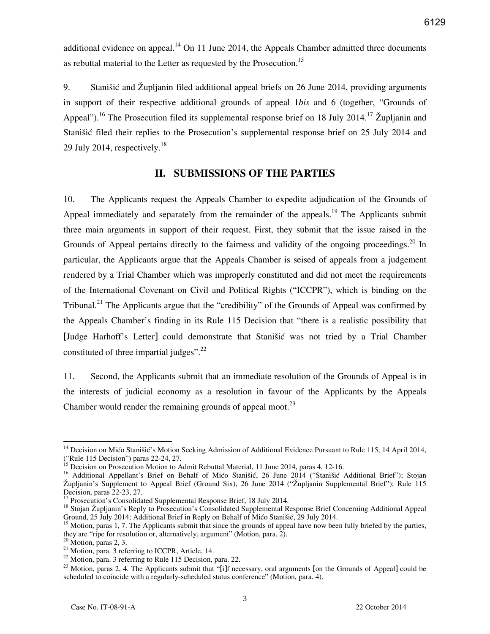additional evidence on appeal.<sup>14</sup> On 11 June 2014, the Appeals Chamber admitted three documents as rebuttal material to the Letter as requested by the Prosecution.<sup>15</sup>

9. Stanišić and Župljanin filed additional appeal briefs on 26 June 2014, providing arguments in support of their respective additional grounds of appeal 1*bis* and 6 (together, "Grounds of Appeal").<sup>16</sup> The Prosecution filed its supplemental response brief on 18 July 2014.<sup>17</sup> Župljanin and Stanišić filed their replies to the Prosecution's supplemental response brief on 25 July 2014 and 29 July 2014, respectively. $^{18}$ 

### **II. SUBMISSIONS OF THE PARTIES**

10. The Applicants request the Appeals Chamber to expedite adjudication of the Grounds of Appeal immediately and separately from the remainder of the appeals.<sup>19</sup> The Applicants submit three main arguments in support of their request. First, they submit that the issue raised in the Grounds of Appeal pertains directly to the fairness and validity of the ongoing proceedings.<sup>20</sup> In particular, the Applicants argue that the Appeals Chamber is seised of appeals from a judgement rendered by a Trial Chamber which was improperly constituted and did not meet the requirements of the International Covenant on Civil and Political Rights ("ICCPR"), which is binding on the Tribunal.<sup>21</sup> The Applicants argue that the "credibility" of the Grounds of Appeal was confirmed by the Appeals Chamber's finding in its Rule 115 Decision that "there is a realistic possibility that [Judge Harhoff's Letter] could demonstrate that Stanišić was not tried by a Trial Chamber constituted of three impartial judges". $^{22}$ 

11. Second, the Applicants submit that an immediate resolution of the Grounds of Appeal is in the interests of judicial economy as a resolution in favour of the Applicants by the Appeals Chamber would render the remaining grounds of appeal moot. $^{23}$ 

<sup>&</sup>lt;sup>14</sup> Decision on Mićo Stanišić's Motion Seeking Admission of Additional Evidence Pursuant to Rule 115, 14 April 2014, ("Rule 115 Decision") paras 22-24, 27.

 $\overline{5}$  Decision on Prosecution Motion to Admit Rebuttal Material, 11 June 2014, paras 4, 12-16.

<sup>&</sup>lt;sup>16</sup> Additional Appellant's Brief on Behalf of Mićo Stanišić, 26 June 2014 ("Stanišić Additional Brief"); Stojan Župljanin's Supplement to Appeal Brief (Ground Six), 26 June 2014 ("Župljanin Supplemental Brief"); Rule 115 Decision, paras 22-23, 27.

<sup>17</sup> Prosecution's Consolidated Supplemental Response Brief, 18 July 2014.

<sup>&</sup>lt;sup>18</sup> Stojan Župljanin's Reply to Prosecution's Consolidated Supplemental Response Brief Concerning Additional Appeal Ground, 25 July 2014; Additional Brief in Reply on Behalf of Mićo Stanišić, 29 July 2014.

 $9$  Motion, paras 1, 7. The Applicants submit that since the grounds of appeal have now been fully briefed by the parties, they are "ripe for resolution or, alternatively, argument" (Motion, para. 2).

 $<sup>0</sup>$  Motion, paras 2, 3.</sup>

 $^{21}$  Motion, para. 3 referring to ICCPR, Article, 14.

<sup>&</sup>lt;sup>22</sup> Motion, para. 3 referring to Rule 115 Decision, para. 22.

<sup>&</sup>lt;sup>23</sup> Motion, paras 2, 4. The Applicants submit that "[i]f necessary, oral arguments [on the Grounds of Appeal] could be scheduled to coincide with a regularly-scheduled status conference" (Motion, para. 4).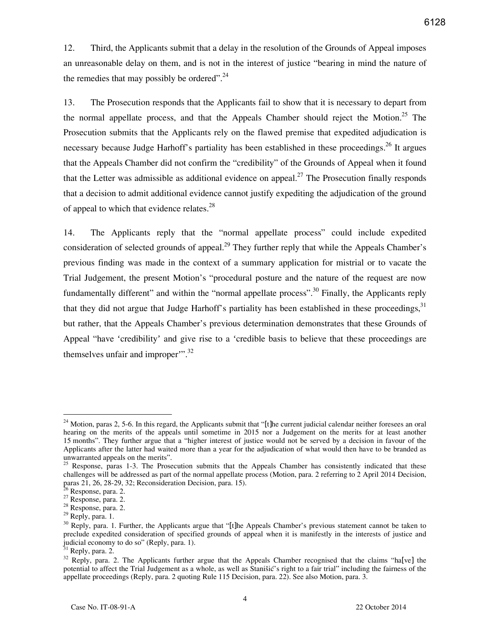12. Third, the Applicants submit that a delay in the resolution of the Grounds of Appeal imposes an unreasonable delay on them, and is not in the interest of justice "bearing in mind the nature of the remedies that may possibly be ordered".<sup>24</sup>

13. The Prosecution responds that the Applicants fail to show that it is necessary to depart from the normal appellate process, and that the Appeals Chamber should reject the Motion.<sup>25</sup> The Prosecution submits that the Applicants rely on the flawed premise that expedited adjudication is necessary because Judge Harhoff's partiality has been established in these proceedings. <sup>26</sup> It argues that the Appeals Chamber did not confirm the "credibility" of the Grounds of Appeal when it found that the Letter was admissible as additional evidence on appeal.<sup>27</sup> The Prosecution finally responds that a decision to admit additional evidence cannot justify expediting the adjudication of the ground of appeal to which that evidence relates. $28$ 

14. The Applicants reply that the "normal appellate process" could include expedited consideration of selected grounds of appeal.<sup>29</sup> They further reply that while the Appeals Chamber's previous finding was made in the context of a summary application for mistrial or to vacate the Trial Judgement, the present Motion's "procedural posture and the nature of the request are now fundamentally different" and within the "normal appellate process".<sup>30</sup> Finally, the Applicants reply that they did not argue that Judge Harhoff's partiality has been established in these proceedings,  $31$ but rather, that the Appeals Chamber's previous determination demonstrates that these Grounds of Appeal "have 'credibility' and give rise to a 'credible basis to believe that these proceedings are themselves unfair and improper".<sup>32</sup>

 $24$  Motion, paras 2, 5-6. In this regard, the Applicants submit that "[t]he current judicial calendar neither foresees an oral hearing on the merits of the appeals until sometime in 2015 nor a Judgement on the merits for at least another 15 months". They further argue that a "higher interest of justice would not be served by a decision in favour of the Applicants after the latter had waited more than a year for the adjudication of what would then have to be branded as unwarranted appeals on the merits".

<sup>&</sup>lt;sup>25</sup> Response, paras 1-3. The Prosecution submits that the Appeals Chamber has consistently indicated that these challenges will be addressed as part of the normal appellate process (Motion, para. 2 referring to 2 April 2014 Decision, paras 21, 26, 28-29, 32; Reconsideration Decision, para. 15).

<sup>&</sup>lt;sup>26</sup> Response, para. 2.

 $27$  Response, para. 2.

<sup>28</sup> Response, para. 2.

 $29$  Reply, para. 1.

<sup>&</sup>lt;sup>30</sup> Reply, para. 1. Further, the Applicants argue that "[t]he Appeals Chamber's previous statement cannot be taken to preclude expedited consideration of specified grounds of appeal when it is manifestly in the interests of justice and judicial economy to do so" (Reply, para. 1).

Reply, para.  $2$ .

<sup>&</sup>lt;sup>32</sup> Reply, para. 2. The Applicants further argue that the Appeals Chamber recognised that the claims "ha[ve] the potential to affect the Trial Judgement as a whole, as well as Stanišić's right to a fair trial" including the fairness of the appellate proceedings (Reply, para. 2 quoting Rule 115 Decision, para. 22). See also Motion, para. 3.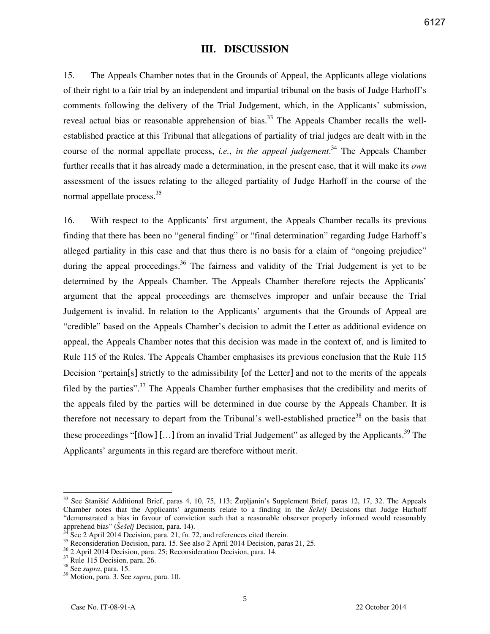### **III. DISCUSSION**

15. The Appeals Chamber notes that in the Grounds of Appeal, the Applicants allege violations of their right to a fair trial by an independent and impartial tribunal on the basis of Judge Harhoff's comments following the delivery of the Trial Judgement, which, in the Applicants' submission, reveal actual bias or reasonable apprehension of bias.<sup>33</sup> The Appeals Chamber recalls the wellestablished practice at this Tribunal that allegations of partiality of trial judges are dealt with in the course of the normal appellate process, *i.e.*, *in the appeal judgement*. <sup>34</sup> The Appeals Chamber further recalls that it has already made a determination, in the present case, that it will make its *own* assessment of the issues relating to the alleged partiality of Judge Harhoff in the course of the normal appellate process.<sup>35</sup>

16. With respect to the Applicants' first argument, the Appeals Chamber recalls its previous finding that there has been no "general finding" or "final determination" regarding Judge Harhoff's alleged partiality in this case and that thus there is no basis for a claim of "ongoing prejudice" during the appeal proceedings.<sup>36</sup> The fairness and validity of the Trial Judgement is yet to be determined by the Appeals Chamber. The Appeals Chamber therefore rejects the Applicants' argument that the appeal proceedings are themselves improper and unfair because the Trial Judgement is invalid. In relation to the Applicants' arguments that the Grounds of Appeal are "credible" based on the Appeals Chamber's decision to admit the Letter as additional evidence on appeal, the Appeals Chamber notes that this decision was made in the context of, and is limited to Rule 115 of the Rules. The Appeals Chamber emphasises its previous conclusion that the Rule 115 Decision "pertain[s] strictly to the admissibility [of the Letter] and not to the merits of the appeals filed by the parties".<sup>37</sup> The Appeals Chamber further emphasises that the credibility and merits of the appeals filed by the parties will be determined in due course by the Appeals Chamber. It is therefore not necessary to depart from the Tribunal's well-established practice<sup>38</sup> on the basis that these proceedings "[flow] [...] from an invalid Trial Judgement" as alleged by the Applicants.<sup>39</sup> The Applicants' arguments in this regard are therefore without merit.

<sup>&</sup>lt;sup>33</sup> See Stanišić Additional Brief, paras 4, 10, 75, 113; Župljanin's Supplement Brief, paras 12, 17, 32. The Appeals Chamber notes that the Applicants' arguments relate to a finding in the *Sefelj* Decisions that Judge Harhoff "demonstrated a bias in favour of conviction such that a reasonable observer properly informed would reasonably apprehend bias" (*Šešelj* Decision, para. 14).

See 2 April 2014 Decision, para. 21, fn. 72, and references cited therein.

 $35$  Reconsideration Decision, para. 15. See also 2 April 2014 Decision, paras 21, 25.

<sup>36</sup> 2 April 2014 Decision, para. 25; Reconsideration Decision, para. 14.

<sup>&</sup>lt;sup>37</sup> Rule 115 Decision, para. 26.

<sup>38</sup> See *supra*, para. 15.

<sup>39</sup> Motion, para. 3. See *supra*, para. 10.